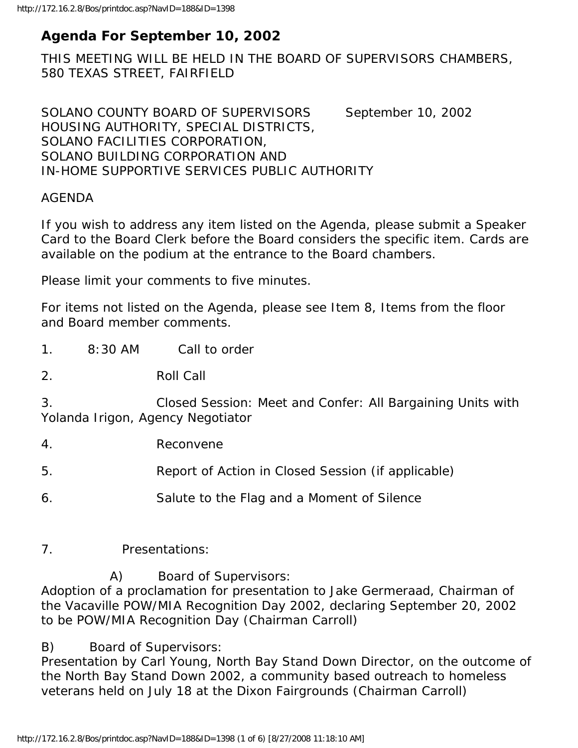## **Agenda For September 10, 2002**

THIS MEETING WILL BE HELD IN THE BOARD OF SUPERVISORS CHAMBERS, 580 TEXAS STREET, FAIRFIELD

SOLANO COUNTY BOARD OF SUPERVISORS September 10, 2002 HOUSING AUTHORITY, SPECIAL DISTRICTS, SOLANO FACILITIES CORPORATION, SOLANO BUILDING CORPORATION AND IN-HOME SUPPORTIVE SERVICES PUBLIC AUTHORITY

#### AGENDA

If you wish to address any item listed on the Agenda, please submit a Speaker Card to the Board Clerk before the Board considers the specific item. Cards are available on the podium at the entrance to the Board chambers.

Please limit your comments to five minutes.

For items not listed on the Agenda, please see Item 8, Items from the floor and Board member comments.

1. 8:30 AM Call to order

2. Roll Call

3. Closed Session: Meet and Confer: All Bargaining Units with Yolanda Irigon, Agency Negotiator

4. Reconvene

5. Report of Action in Closed Session (if applicable)

- 6. Salute to the Flag and a Moment of Silence
- 7. Presentations:

A) Board of Supervisors:

Adoption of a proclamation for presentation to Jake Germeraad, Chairman of the Vacaville POW/MIA Recognition Day 2002, declaring September 20, 2002 to be POW/MIA Recognition Day (Chairman Carroll)

B) Board of Supervisors:

Presentation by Carl Young, North Bay Stand Down Director, on the outcome of the North Bay Stand Down 2002, a community based outreach to homeless veterans held on July 18 at the Dixon Fairgrounds (Chairman Carroll)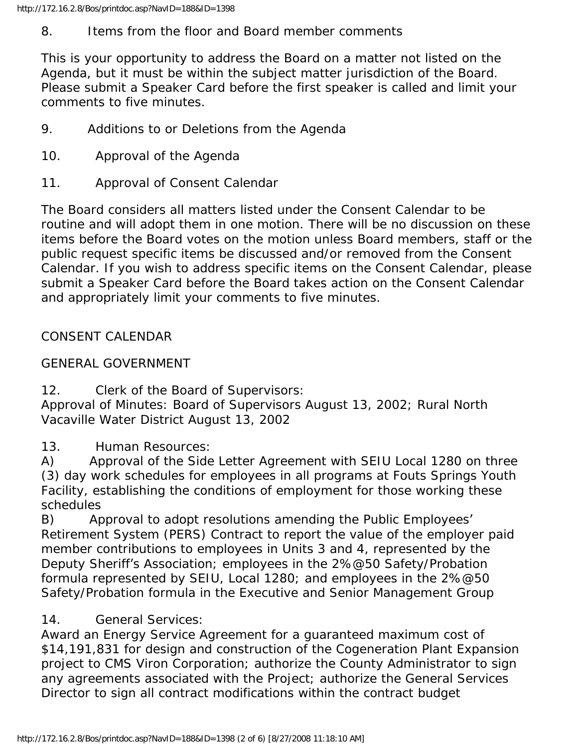## 8. Items from the floor and Board member comments

This is your opportunity to address the Board on a matter not listed on the Agenda, but it must be within the subject matter jurisdiction of the Board. Please submit a Speaker Card before the first speaker is called and limit your comments to five minutes.

- 9. Additions to or Deletions from the Agenda
- 10. Approval of the Agenda
- 11. Approval of Consent Calendar

The Board considers all matters listed under the Consent Calendar to be routine and will adopt them in one motion. There will be no discussion on these items before the Board votes on the motion unless Board members, staff or the public request specific items be discussed and/or removed from the Consent Calendar. If you wish to address specific items on the Consent Calendar, please submit a Speaker Card before the Board takes action on the Consent Calendar and appropriately limit your comments to five minutes.

# CONSENT CALENDAR

# GENERAL GOVERNMENT

12. Clerk of the Board of Supervisors:

Approval of Minutes: Board of Supervisors August 13, 2002; Rural North Vacaville Water District August 13, 2002

13. Human Resources:

A) Approval of the Side Letter Agreement with SEIU Local 1280 on three (3) day work schedules for employees in all programs at Fouts Springs Youth Facility, establishing the conditions of employment for those working these schedules

B) Approval to adopt resolutions amending the Public Employees' Retirement System (PERS) Contract to report the value of the employer paid member contributions to employees in Units 3 and 4, represented by the Deputy Sheriff's Association; employees in the 2%@50 Safety/Probation formula represented by SEIU, Local 1280; and employees in the 2%@50 Safety/Probation formula in the Executive and Senior Management Group

# 14. General Services:

Award an Energy Service Agreement for a guaranteed maximum cost of \$14,191,831 for design and construction of the Cogeneration Plant Expansion project to CMS Viron Corporation; authorize the County Administrator to sign any agreements associated with the Project; authorize the General Services Director to sign all contract modifications within the contract budget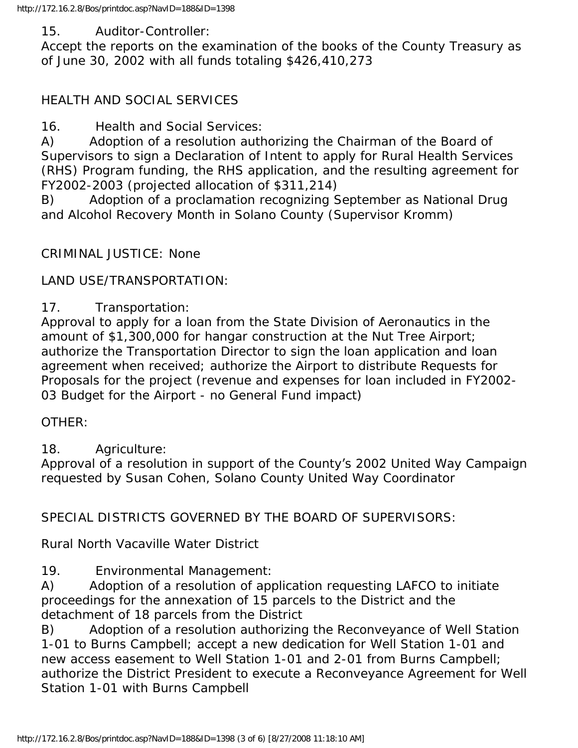#### 15. Auditor-Controller:

Accept the reports on the examination of the books of the County Treasury as of June 30, 2002 with all funds totaling \$426,410,273

### HEALTH AND SOCIAL SERVICES

16. Health and Social Services:

A) Adoption of a resolution authorizing the Chairman of the Board of Supervisors to sign a Declaration of Intent to apply for Rural Health Services (RHS) Program funding, the RHS application, and the resulting agreement for FY2002-2003 (projected allocation of \$311,214)

B) Adoption of a proclamation recognizing September as National Drug and Alcohol Recovery Month in Solano County (Supervisor Kromm)

### CRIMINAL JUSTICE: None

### LAND USE/TRANSPORTATION:

### 17. Transportation:

Approval to apply for a loan from the State Division of Aeronautics in the amount of \$1,300,000 for hangar construction at the Nut Tree Airport; authorize the Transportation Director to sign the loan application and loan agreement when received; authorize the Airport to distribute Requests for Proposals for the project (revenue and expenses for loan included in FY2002- 03 Budget for the Airport - no General Fund impact)

#### OTHER:

### 18. Agriculture:

Approval of a resolution in support of the County's 2002 United Way Campaign requested by Susan Cohen, Solano County United Way Coordinator

### SPECIAL DISTRICTS GOVERNED BY THE BOARD OF SUPERVISORS:

### Rural North Vacaville Water District

### 19. Environmental Management:

A) Adoption of a resolution of application requesting LAFCO to initiate proceedings for the annexation of 15 parcels to the District and the detachment of 18 parcels from the District

B) Adoption of a resolution authorizing the Reconveyance of Well Station 1-01 to Burns Campbell; accept a new dedication for Well Station 1-01 and new access easement to Well Station 1-01 and 2-01 from Burns Campbell; authorize the District President to execute a Reconveyance Agreement for Well Station 1-01 with Burns Campbell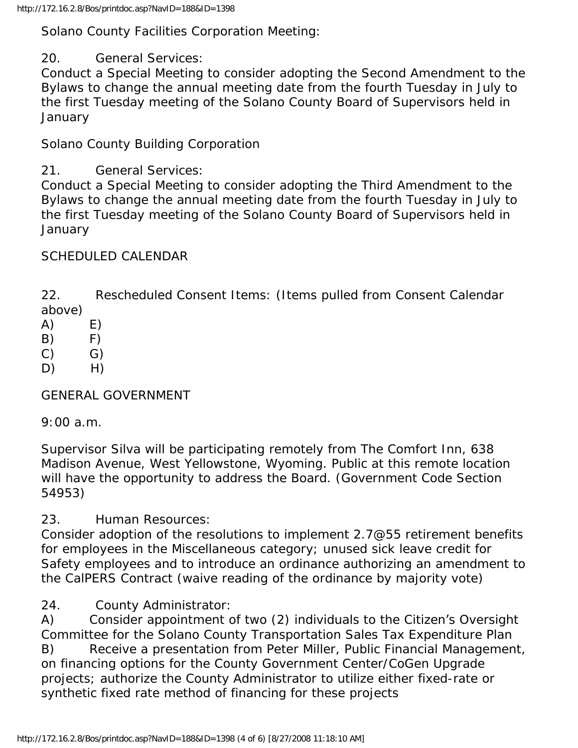Solano County Facilities Corporation Meeting:

20. General Services:

Conduct a Special Meeting to consider adopting the Second Amendment to the Bylaws to change the annual meeting date from the fourth Tuesday in July to the first Tuesday meeting of the Solano County Board of Supervisors held in **January** 

Solano County Building Corporation

21. General Services:

Conduct a Special Meeting to consider adopting the Third Amendment to the Bylaws to change the annual meeting date from the fourth Tuesday in July to the first Tuesday meeting of the Solano County Board of Supervisors held in **January** 

## SCHEDULED CALENDAR

22. Rescheduled Consent Items: (Items pulled from Consent Calendar above)

- $(A)$   $E)$
- $(B)$   $F)$
- $(C)$   $G)$
- $D)$  H)

GENERAL GOVERNMENT

9:00 a.m.

Supervisor Silva will be participating remotely from The Comfort Inn, 638 Madison Avenue, West Yellowstone, Wyoming. Public at this remote location will have the opportunity to address the Board. (Government Code Section 54953)

23. Human Resources:

Consider adoption of the resolutions to implement 2.7@55 retirement benefits for employees in the Miscellaneous category; unused sick leave credit for Safety employees and to introduce an ordinance authorizing an amendment to the CalPERS Contract (waive reading of the ordinance by majority vote)

24. County Administrator:

A) Consider appointment of two (2) individuals to the Citizen's Oversight Committee for the Solano County Transportation Sales Tax Expenditure Plan B) Receive a presentation from Peter Miller, Public Financial Management, on financing options for the County Government Center/CoGen Upgrade projects; authorize the County Administrator to utilize either fixed-rate or synthetic fixed rate method of financing for these projects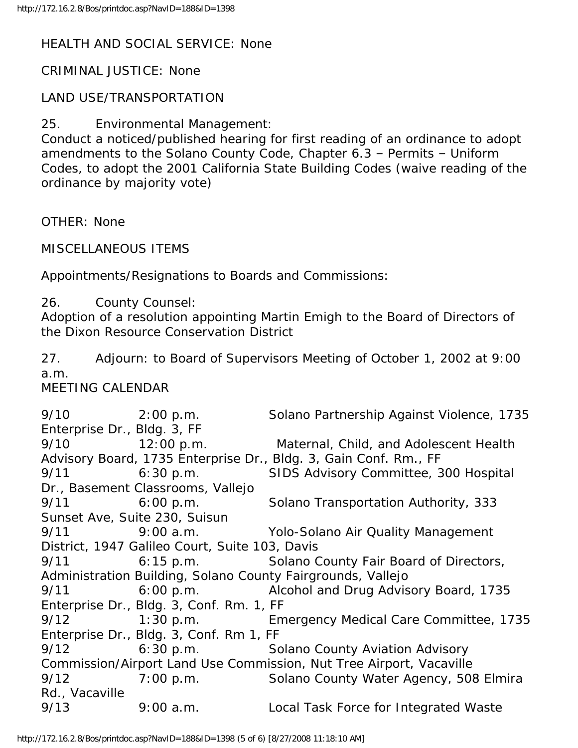#### HEALTH AND SOCIAL SERVICE: None

CRIMINAL JUSTICE: None

#### LAND USE/TRANSPORTATION

25. Environmental Management:

Conduct a noticed/published hearing for first reading of an ordinance to adopt amendments to the Solano County Code, Chapter 6.3 – Permits – Uniform Codes, to adopt the 2001 California State Building Codes (waive reading of the ordinance by majority vote)

OTHER: None

MISCELLANEOUS ITEMS

Appointments/Resignations to Boards and Commissions:

26. County Counsel:

Adoption of a resolution appointing Martin Emigh to the Board of Directors of the Dixon Resource Conservation District

27. Adjourn: to Board of Supervisors Meeting of October 1, 2002 at 9:00 a.m.

MEETING CALENDAR

9/10 2:00 p.m. Solano Partnership Against Violence, 1735 Enterprise Dr., Bldg. 3, FF 9/10 12:00 p.m. Maternal, Child, and Adolescent Health Advisory Board, 1735 Enterprise Dr., Bldg. 3, Gain Conf. Rm., FF 9/11 6:30 p.m. SIDS Advisory Committee, 300 Hospital Dr., Basement Classrooms, Vallejo 9/11 6:00 p.m. Solano Transportation Authority, 333 Sunset Ave, Suite 230, Suisun 9/11 9:00 a.m. Yolo-Solano Air Quality Management District, 1947 Galileo Court, Suite 103, Davis 9/11 6:15 p.m. Solano County Fair Board of Directors, Administration Building, Solano County Fairgrounds, Vallejo 9/11 6:00 p.m. Alcohol and Drug Advisory Board, 1735 Enterprise Dr., Bldg. 3, Conf. Rm. 1, FF 9/12 1:30 p.m. Emergency Medical Care Committee, 1735 Enterprise Dr., Bldg. 3, Conf. Rm 1, FF 9/12 6:30 p.m. Solano County Aviation Advisory Commission/Airport Land Use Commission, Nut Tree Airport, Vacaville 9/12 7:00 p.m. Solano County Water Agency, 508 Elmira Rd., Vacaville 9/13 9:00 a.m. Local Task Force for Integrated Waste